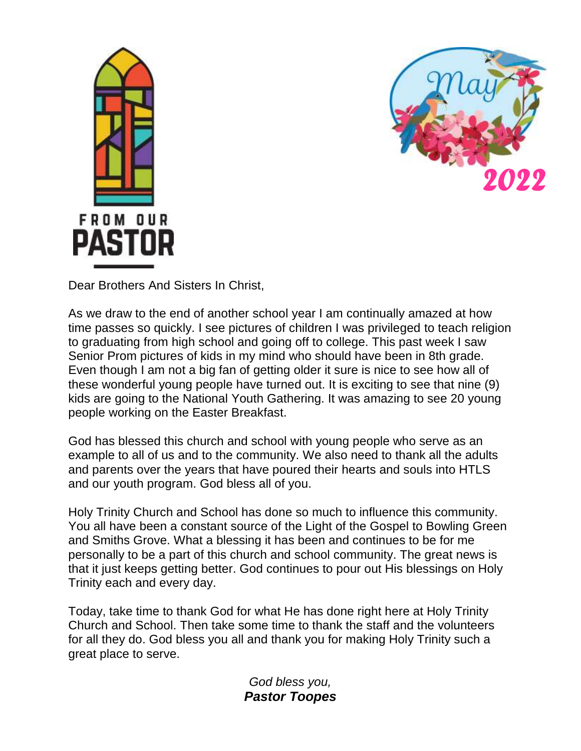



Dear Brothers And Sisters In Christ,

As we draw to the end of another school year I am continually amazed at how time passes so quickly. I see pictures of children I was privileged to teach religion to graduating from high school and going off to college. This past week I saw Senior Prom pictures of kids in my mind who should have been in 8th grade. Even though I am not a big fan of getting older it sure is nice to see how all of these wonderful young people have turned out. It is exciting to see that nine (9) kids are going to the National Youth Gathering. It was amazing to see 20 young people working on the Easter Breakfast.

God has blessed this church and school with young people who serve as an example to all of us and to the community. We also need to thank all the adults and parents over the years that have poured their hearts and souls into HTLS and our youth program. God bless all of you.

Holy Trinity Church and School has done so much to influence this community. You all have been a constant source of the Light of the Gospel to Bowling Green and Smiths Grove. What a blessing it has been and continues to be for me personally to be a part of this church and school community. The great news is that it just keeps getting better. God continues to pour out His blessings on Holy Trinity each and every day.

Today, take time to thank God for what He has done right here at Holy Trinity Church and School. Then take some time to thank the staff and the volunteers for all they do. God bless you all and thank you for making Holy Trinity such a great place to serve.

> *God bless you, Pastor Toopes*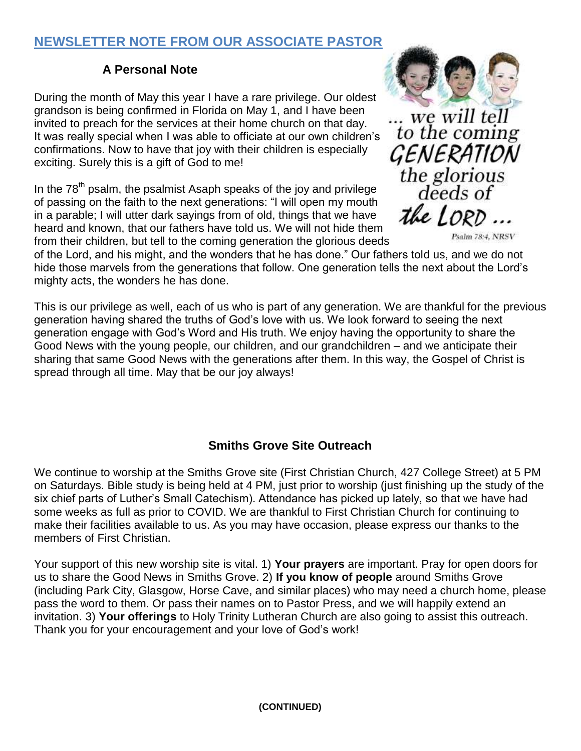### **NEWSLETTER NOTE FROM OUR ASSOCIATE PASTOR**

### **A Personal Note**

During the month of May this year I have a rare privilege. Our oldest grandson is being confirmed in Florida on May 1, and I have been invited to preach for the services at their home church on that day. It was really special when I was able to officiate at our own children's confirmations. Now to have that joy with their children is especially exciting. Surely this is a gift of God to me!

In the  $78<sup>th</sup>$  psalm, the psalmist Asaph speaks of the joy and privilege of passing on the faith to the next generations: "I will open my mouth in a parable; I will utter dark sayings from of old, things that we have heard and known, that our fathers have told us. We will not hide them from their children, but tell to the coming generation the glorious deeds

of the Lord, and his might, and the wonders that he has done." Our fathers told us, and we do not hide those marvels from the generations that follow. One generation tells the next about the Lord's mighty acts, the wonders he has done.

This is our privilege as well, each of us who is part of any generation. We are thankful for the previous generation having shared the truths of God's love with us. We look forward to seeing the next generation engage with God's Word and His truth. We enjoy having the opportunity to share the Good News with the young people, our children, and our grandchildren – and we anticipate their sharing that same Good News with the generations after them. In this way, the Gospel of Christ is spread through all time. May that be our joy always!

### **Smiths Grove Site Outreach**

We continue to worship at the Smiths Grove site (First Christian Church, 427 College Street) at 5 PM on Saturdays. Bible study is being held at 4 PM, just prior to worship (just finishing up the study of the six chief parts of Luther's Small Catechism). Attendance has picked up lately, so that we have had some weeks as full as prior to COVID. We are thankful to First Christian Church for continuing to make their facilities available to us. As you may have occasion, please express our thanks to the members of First Christian.

Your support of this new worship site is vital. 1) **Your prayers** are important. Pray for open doors for us to share the Good News in Smiths Grove. 2) **If you know of people** around Smiths Grove (including Park City, Glasgow, Horse Cave, and similar places) who may need a church home, please pass the word to them. Or pass their names on to Pastor Press, and we will happily extend an invitation. 3) **Your offerings** to Holy Trinity Lutheran Church are also going to assist this outreach. Thank you for your encouragement and your love of God's work!



... we will tell<br>to the coming *GENERATION*<br>the glorious<br>deeds of the LORD ...

Psalm 78:4, NRSV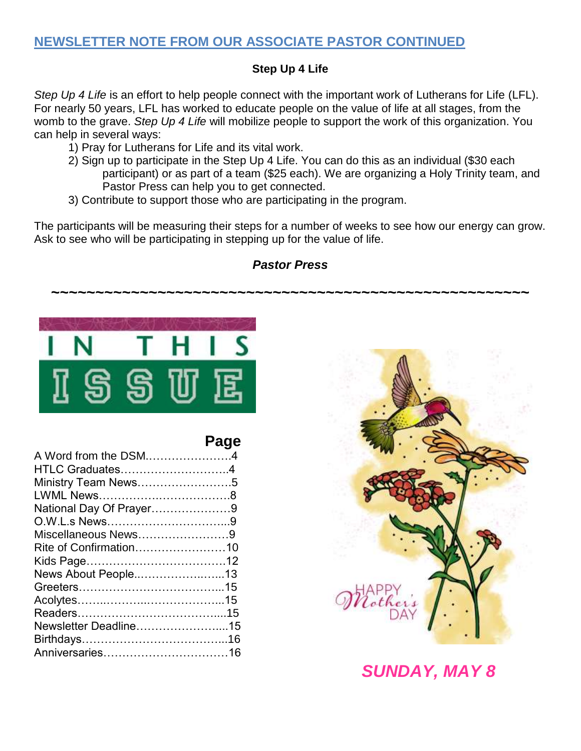### **NEWSLETTER NOTE FROM OUR ASSOCIATE PASTOR CONTINUED**

#### **Step Up 4 Life**

*Step Up 4 Life* is an effort to help people connect with the important work of Lutherans for Life (LFL). For nearly 50 years, LFL has worked to educate people on the value of life at all stages, from the womb to the grave. *Step Up 4 Life* will mobilize people to support the work of this organization. You can help in several ways:

- 1) Pray for Lutherans for Life and its vital work.
- 2) Sign up to participate in the Step Up 4 Life. You can do this as an individual (\$30 each participant) or as part of a team (\$25 each). We are organizing a Holy Trinity team, and Pastor Press can help you to get connected.
- 3) Contribute to support those who are participating in the program.

The participants will be measuring their steps for a number of weeks to see how our energy can grow. Ask to see who will be participating in stepping up for the value of life.



### **Page**

| HTLC Graduates4<br>Ministry Team News5<br>National Day Of Prayer9<br>Miscellaneous News9<br>Rite of Confirmation10<br>News About People13<br>Newsletter Deadline15 | A Word from the DSM4 |
|--------------------------------------------------------------------------------------------------------------------------------------------------------------------|----------------------|
|                                                                                                                                                                    |                      |
|                                                                                                                                                                    |                      |
|                                                                                                                                                                    |                      |
|                                                                                                                                                                    |                      |
|                                                                                                                                                                    |                      |
|                                                                                                                                                                    |                      |
|                                                                                                                                                                    |                      |
|                                                                                                                                                                    |                      |
|                                                                                                                                                                    |                      |
|                                                                                                                                                                    |                      |
|                                                                                                                                                                    |                      |
|                                                                                                                                                                    |                      |
|                                                                                                                                                                    |                      |
|                                                                                                                                                                    |                      |
|                                                                                                                                                                    |                      |



# *SUNDAY, MAY 8*

### *Pastor Press*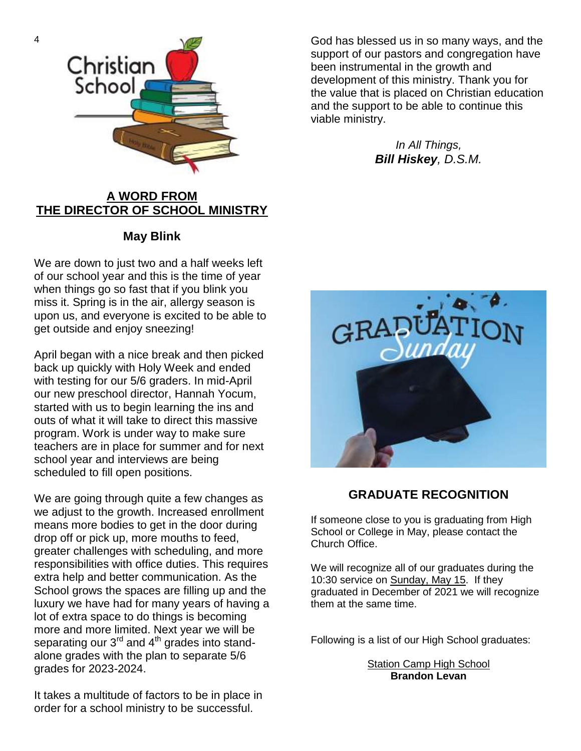

#### **A WORD FROM THE DIRECTOR OF SCHOOL MINISTRY**

#### **May Blink**

We are down to just two and a half weeks left of our school year and this is the time of year when things go so fast that if you blink you miss it. Spring is in the air, allergy season is upon us, and everyone is excited to be able to get outside and enjoy sneezing!

April began with a nice break and then picked back up quickly with Holy Week and ended with testing for our 5/6 graders. In mid-April our new preschool director, Hannah Yocum, started with us to begin learning the ins and outs of what it will take to direct this massive program. Work is under way to make sure teachers are in place for summer and for next school year and interviews are being scheduled to fill open positions.

We are going through quite a few changes as we adjust to the growth. Increased enrollment means more bodies to get in the door during drop off or pick up, more mouths to feed, greater challenges with scheduling, and more responsibilities with office duties. This requires extra help and better communication. As the School grows the spaces are filling up and the luxury we have had for many years of having a lot of extra space to do things is becoming more and more limited. Next year we will be separating our  $3<sup>rd</sup>$  and  $4<sup>th</sup>$  grades into standalone grades with the plan to separate 5/6 grades for 2023-2024.

It takes a multitude of factors to be in place in order for a school ministry to be successful.

God has blessed us in so many ways, and the support of our pastors and congregation have been instrumental in the growth and development of this ministry. Thank you for the value that is placed on Christian education and the support to be able to continue this viable ministry.

> *In All Things, Bill Hiskey, D.S.M.*



#### **GRADUATE RECOGNITION**

If someone close to you is graduating from High School or College in May, please contact the Church Office.

We will recognize all of our graduates during the 10:30 service on Sunday, May 15. If they graduated in December of 2021 we will recognize them at the same time.

Following is a list of our High School graduates:

Station Camp High School **Brandon Levan**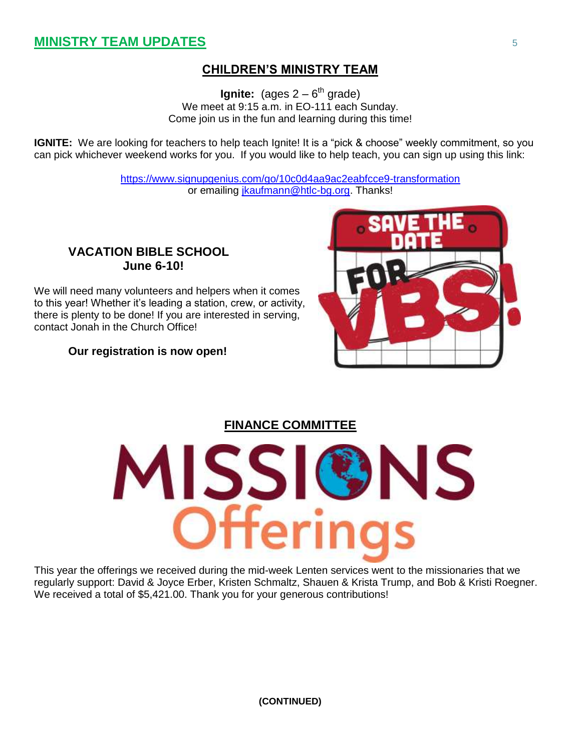### **CHILDREN'S MINISTRY TEAM**

**Ignite:** (ages 2 – 6<sup>th</sup> grade) We meet at 9:15 a.m. in EO-111 each Sunday. Come join us in the fun and learning during this time!

**IGNITE:** We are looking for teachers to help teach Ignite! It is a "pick & choose" weekly commitment, so you can pick whichever weekend works for you. If you would like to help teach, you can sign up using this link:

> <https://www.signupgenius.com/go/10c0d4aa9ac2eabfcce9-transformation> or emailing [jkaufmann@htlc-bg.org.](mailto:jkaufmann@htlc-bg.org) Thanks!

#### **VACATION BIBLE SCHOOL June 6-10!**

We will need many volunteers and helpers when it comes to this year! Whether it's leading a station, crew, or activity, there is plenty to be done! If you are interested in serving, contact Jonah in the Church Office!

#### **Our registration is now open!**



**FINANCE COMMITTEE**



This year the offerings we received during the mid-week Lenten services went to the missionaries that we regularly support: David & Joyce Erber, Kristen Schmaltz, Shauen & Krista Trump, and Bob & Kristi Roegner. We received a total of \$5,421.00. Thank you for your generous contributions!

**(CONTINUED)**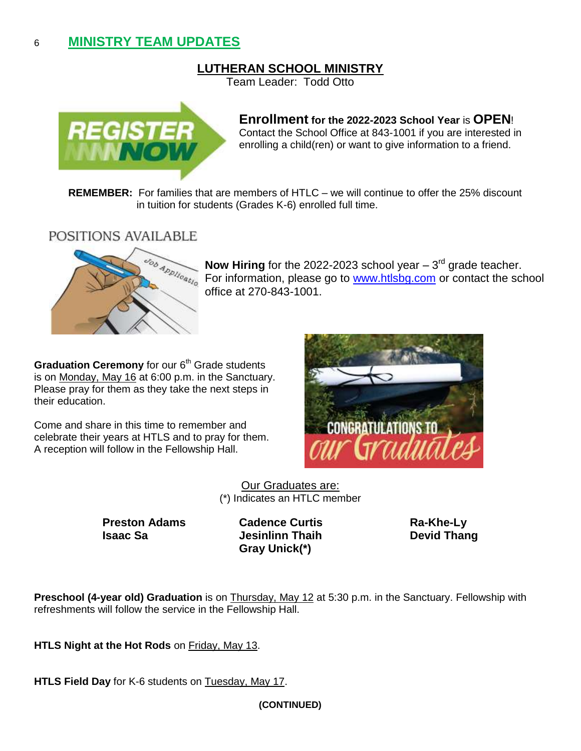### 6 **MINISTRY TEAM UPDATES**

#### **LUTHERAN SCHOOL MINISTRY**

Team Leader: Todd Otto



#### **Enrollment for the 2022-2023 School Year** is **OPEN**! Contact the School Office at 843-1001 if you are interested in enrolling a child(ren) or want to give information to a friend.

**REMEMBER:** For families that are members of HTLC – we will continue to offer the 25% discount in tuition for students (Grades K-6) enrolled full time.

POSITIONS AVAILABLE



**Now Hiring** for the 2022-2023 school year  $-3<sup>rd</sup>$  grade teacher. For information, please go to [www.htlsbg.com](http://www.htlsbg.com/) or contact the school office at 270-843-1001.

**Graduation Ceremony** for our 6<sup>th</sup> Grade students is on Monday, May 16 at 6:00 p.m. in the Sanctuary. Please pray for them as they take the next steps in their education.

Come and share in this time to remember and celebrate their years at HTLS and to pray for them. A reception will follow in the Fellowship Hall.



Our Graduates are: (\*) Indicates an HTLC member

**Preston Adams Cadence Curtis Ra-Khe-Ly Isaac Sa Devid Thang Devid Thang** 

**Gray Unick(\*)**

**Preschool (4-year old) Graduation** is on Thursday, May 12 at 5:30 p.m. in the Sanctuary. Fellowship with refreshments will follow the service in the Fellowship Hall.

**HTLS Night at the Hot Rods** on Friday, May 13.

**HTLS Field Day** for K-6 students on Tuesday, May 17.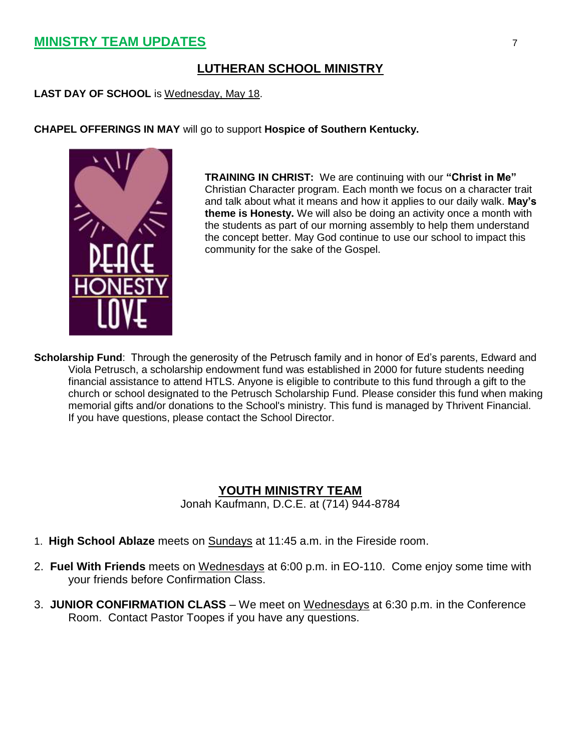### **MINISTRY TEAM UPDATES** 7

### **LUTHERAN SCHOOL MINISTRY**

**LAST DAY OF SCHOOL** is Wednesday, May 18.

#### **CHAPEL OFFERINGS IN MAY** will go to support **Hospice of Southern Kentucky.**



**TRAINING IN CHRIST:** We are continuing with our **"Christ in Me"** Christian Character program. Each month we focus on a character trait and talk about what it means and how it applies to our daily walk. **May's theme is Honesty.** We will also be doing an activity once a month with the students as part of our morning assembly to help them understand the concept better. May God continue to use our school to impact this community for the sake of the Gospel.

**Scholarship Fund**: Through the generosity of the Petrusch family and in honor of Ed's parents, Edward and Viola Petrusch, a scholarship endowment fund was established in 2000 for future students needing financial assistance to attend HTLS. Anyone is eligible to contribute to this fund through a gift to the church or school designated to the Petrusch Scholarship Fund. Please consider this fund when making memorial gifts and/or donations to the School's ministry. This fund is managed by Thrivent Financial. If you have questions, please contact the School Director.

#### **YOUTH MINISTRY TEAM**

Jonah Kaufmann, D.C.E. at (714) 944-8784

- 1. **High School Ablaze** meets on Sundays at 11:45 a.m. in the Fireside room.
- 2. **Fuel With Friends** meets on Wednesdays at 6:00 p.m. in EO-110. Come enjoy some time with your friends before Confirmation Class.
- 3. **JUNIOR CONFIRMATION CLASS** We meet on Wednesdays at 6:30 p.m. in the Conference Room. Contact Pastor Toopes if you have any questions.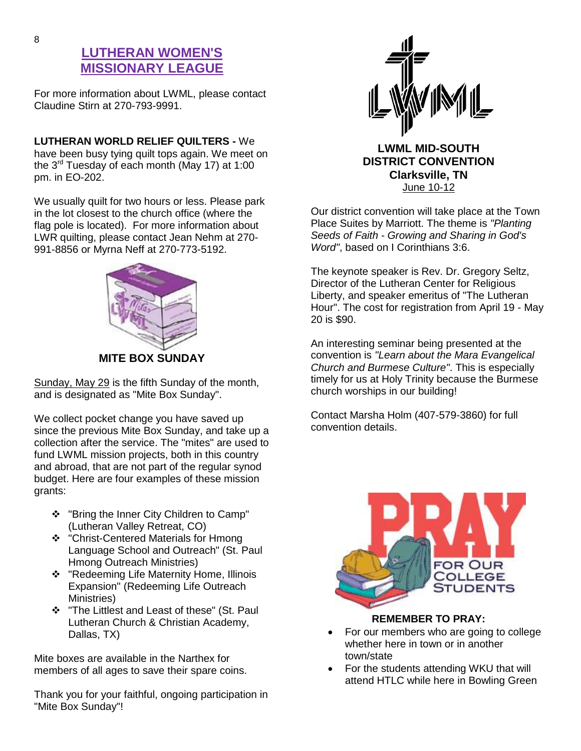### **LUTHERAN WOMEN'S MISSIONARY LEAGUE**

For more information about LWML, please contact Claudine Stirn at 270-793-9991.

**LUTHERAN WORLD RELIEF QUILTERS -** We have been busy tying quilt tops again. We meet on the 3rd Tuesday of each month (May 17) at 1:00 pm. in EO-202.

We usually quilt for two hours or less. Please park in the lot closest to the church office (where the flag pole is located). For more information about LWR quilting, please contact Jean Nehm at 270- 991-8856 or Myrna Neff at 270-773-5192.



Sunday, May 29 is the fifth Sunday of the month, and is designated as "Mite Box Sunday".

We collect pocket change you have saved up since the previous Mite Box Sunday, and take up a collection after the service. The "mites" are used to fund LWML mission projects, both in this country and abroad, that are not part of the regular synod budget. Here are four examples of these mission grants:

- ❖ "Bring the Inner City Children to Camp" (Lutheran Valley Retreat, CO)
- ❖ "Christ-Centered Materials for Hmong Language School and Outreach" (St. Paul Hmong Outreach Ministries)
- ❖ "Redeeming Life Maternity Home, Illinois Expansion" (Redeeming Life Outreach Ministries)
- \* "The Littlest and Least of these" (St. Paul Lutheran Church & Christian Academy, Dallas, TX)

Mite boxes are available in the Narthex for members of all ages to save their spare coins.

Thank you for your faithful, ongoing participation in "Mite Box Sunday"!



**LWML MID-SOUTH DISTRICT CONVENTION Clarksville, TN** June 10-12

Our district convention will take place at the Town Place Suites by Marriott. The theme is *"Planting Seeds of Faith - Growing and Sharing in God's Word"*, based on I Corinthians 3:6.

The keynote speaker is Rev. Dr. Gregory Seltz, Director of the Lutheran Center for Religious Liberty, and speaker emeritus of "The Lutheran Hour". The cost for registration from April 19 - May 20 is \$90.

An interesting seminar being presented at the convention is *"Learn about the Mara Evangelical Church and Burmese Culture"*. This is especially timely for us at Holy Trinity because the Burmese church worships in our building!

Contact Marsha Holm (407-579-3860) for full convention details.



#### **REMEMBER TO PRAY:**

- For our members who are going to college whether here in town or in another town/state
- For the students attending WKU that will attend HTLC while here in Bowling Green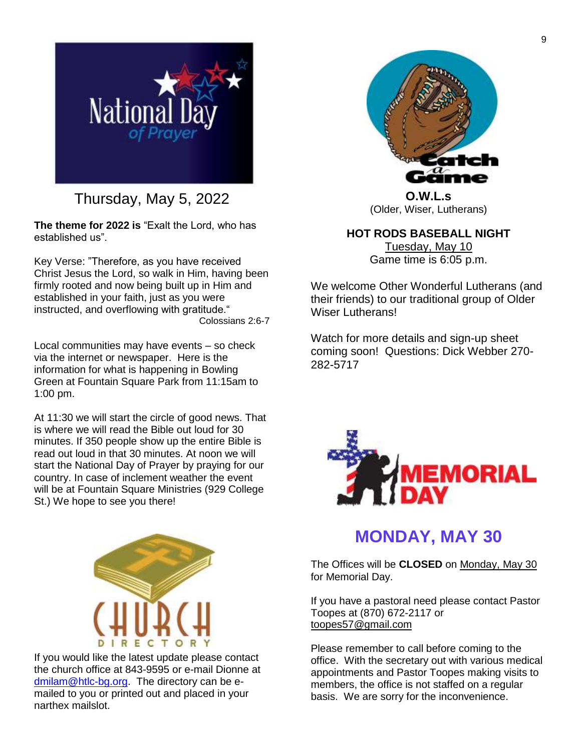

Thursday, May 5, 2022

**The theme for 2022 is** "Exalt the Lord, who has established us".

Key Verse: "Therefore, as you have received Christ Jesus the Lord, so walk in Him, having been firmly rooted and now being built up in Him and established in your faith, just as you were instructed, and overflowing with gratitude." Colossians 2:6-7

Local communities may have events – so check via the internet or newspaper. Here is the information for what is happening in Bowling Green at Fountain Square Park from 11:15am to 1:00 pm.

At 11:30 we will start the circle of good news. That is where we will read the Bible out loud for 30 minutes. If 350 people show up the entire Bible is read out loud in that 30 minutes. At noon we will start the National Day of Prayer by praying for our country. In case of inclement weather the event will be at Fountain Square Ministries (929 College St.) We hope to see you there!



If you would like the latest update please contact the church office at 843-9595 or e-mail Dionne at [dmilam@htlc-bg.org.](mailto:dmilam@htlc-bg.org) The directory can be emailed to you or printed out and placed in your narthex mailslot.



**O.W.L.s** (Older, Wiser, Lutherans)

**HOT RODS BASEBALL NIGHT** Tuesday, May 10 Game time is 6:05 p.m.

We welcome Other Wonderful Lutherans (and their friends) to our traditional group of Older Wiser Lutherans!

Watch for more details and sign-up sheet coming soon! Questions: Dick Webber 270- 282-5717



# **MONDAY, MAY 30**

The Offices will be **CLOSED** on Monday, May 30 for Memorial Day.

If you have a pastoral need please contact Pastor Toopes at (870) 672-2117 or [toopes57@gmail.com](mailto:toopes57@gmail.com)

Please remember to call before coming to the office. With the secretary out with various medical appointments and Pastor Toopes making visits to members, the office is not staffed on a regular basis. We are sorry for the inconvenience.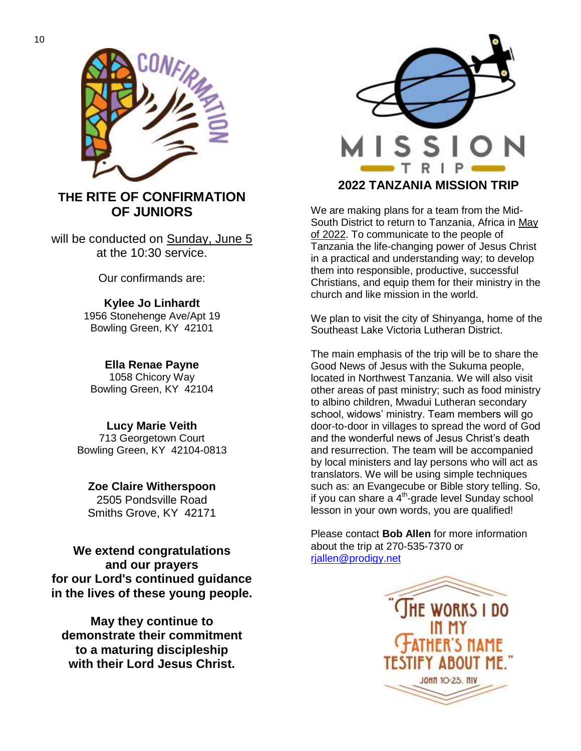

### **THE RITE OF CONFIRMATION OF JUNIORS**

will be conducted on Sunday, June 5 at the 10:30 service.

Our confirmands are:

**Kylee Jo Linhardt** 1956 Stonehenge Ave/Apt 19 Bowling Green, KY 42101

**Ella Renae Payne** 1058 Chicory Way Bowling Green, KY 42104

**Lucy Marie Veith** 713 Georgetown Court Bowling Green, KY 42104-0813

**Zoe Claire Witherspoon** 2505 Pondsville Road Smiths Grove, KY 42171

**We extend congratulations and our prayers for our Lord's continued guidance in the lives of these young people.**

**May they continue to demonstrate their commitment to a maturing discipleship with their Lord Jesus Christ.**



**2022 TANZANIA MISSION TRIP**

We are making plans for a team from the Mid-South District to return to Tanzania, Africa in May of 2022. To communicate to the people of Tanzania the life-changing power of Jesus Christ in a practical and understanding way; to develop them into responsible, productive, successful Christians, and equip them for their ministry in the church and like mission in the world.

We plan to visit the city of Shinyanga, home of the Southeast Lake Victoria Lutheran District.

The main emphasis of the trip will be to share the Good News of Jesus with the Sukuma people, located in Northwest Tanzania. We will also visit other areas of past ministry; such as food ministry to albino children, Mwadui Lutheran secondary school, widows' ministry. Team members will go door-to-door in villages to spread the word of God and the wonderful news of Jesus Christ's death and resurrection. The team will be accompanied by local ministers and lay persons who will act as translators. We will be using simple techniques such as: an Evangecube or Bible story telling. So, if you can share a 4<sup>th</sup>-grade level Sunday school lesson in your own words, you are qualified!

Please contact **Bob Allen** for more information about the trip at 270-535-7370 or [rjallen@prodigy.net](mailto:rjallen@prodigy.net)

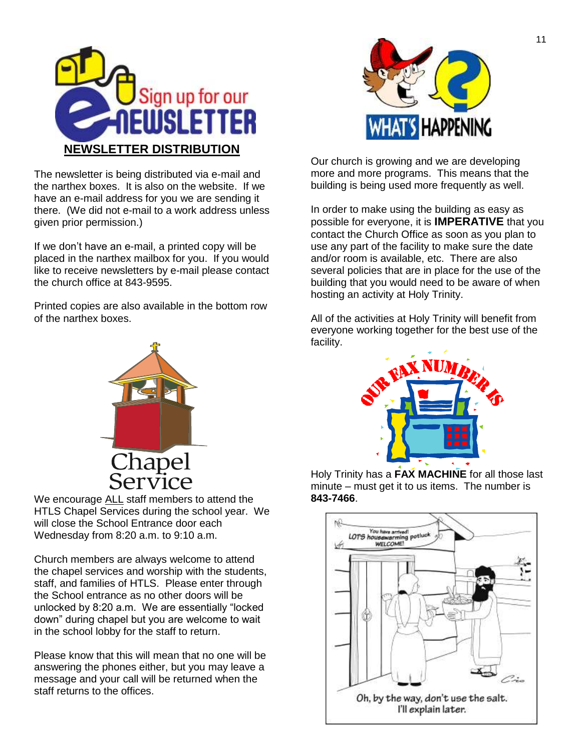

The newsletter is being distributed via e-mail and the narthex boxes. It is also on the website. If we have an e-mail address for you we are sending it there. (We did not e-mail to a work address unless given prior permission.)

If we don't have an e-mail, a printed copy will be placed in the narthex mailbox for you. If you would like to receive newsletters by e-mail please contact the church office at 843-9595.

Printed copies are also available in the bottom row of the narthex boxes.



We encourage ALL staff members to attend the HTLS Chapel Services during the school year. We will close the School Entrance door each Wednesday from 8:20 a.m. to 9:10 a.m.

Church members are always welcome to attend the chapel services and worship with the students, staff, and families of HTLS. Please enter through the School entrance as no other doors will be unlocked by 8:20 a.m. We are essentially "locked down" during chapel but you are welcome to wait in the school lobby for the staff to return.

Please know that this will mean that no one will be answering the phones either, but you may leave a message and your call will be returned when the staff returns to the offices.



Our church is growing and we are developing more and more programs. This means that the building is being used more frequently as well.

In order to make using the building as easy as possible for everyone, it is **IMPERATIVE** that you contact the Church Office as soon as you plan to use any part of the facility to make sure the date and/or room is available, etc. There are also several policies that are in place for the use of the building that you would need to be aware of when hosting an activity at Holy Trinity.

All of the activities at Holy Trinity will benefit from everyone working together for the best use of the facility.



Holy Trinity has a **FAX MACHINE** for all those last minute – must get it to us items. The number is **843-7466**.

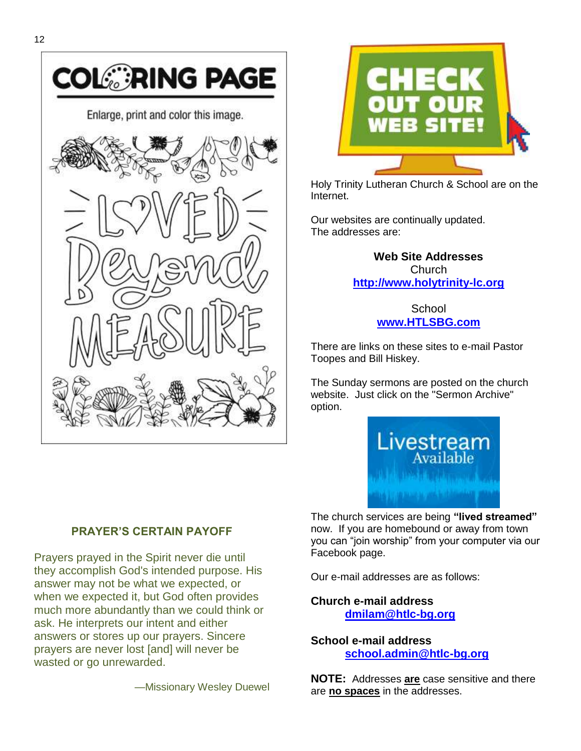



Prayers prayed in the Spirit never die until they accomplish God's intended purpose. His answer may not be what we expected, or when we expected it, but God often provides much more abundantly than we could think or ask. He interprets our intent and either answers or stores up our prayers. Sincere prayers are never lost [and] will never be wasted or go unrewarded.

—Missionary Wesley Duewel



Holy Trinity Lutheran Church & School are on the Internet.

Our websites are continually updated. The addresses are:

> **Web Site Addresses Church [http://www.holytrinity-lc.org](http://www.htlc-bg.org/)**

> > **School [www.HTLSBG.com](http://www.htlsbg.com/)**

There are links on these sites to e-mail Pastor Toopes and Bill Hiskey.

The Sunday sermons are posted on the church website. Just click on the "Sermon Archive" option.



The church services are being **"lived streamed"** now. If you are homebound or away from town you can "join worship" from your computer via our Facebook page.

Our e-mail addresses are as follows:

**Church e-mail address [dmilam@htlc-bg.org](mailto:dmilam@htlc-bg.org)**

**School e-mail address [school.admin@htlc-bg.org](mailto:school@htlc-bg.org)**

**NOTE:** Addresses **are** case sensitive and there are **no spaces** in the addresses.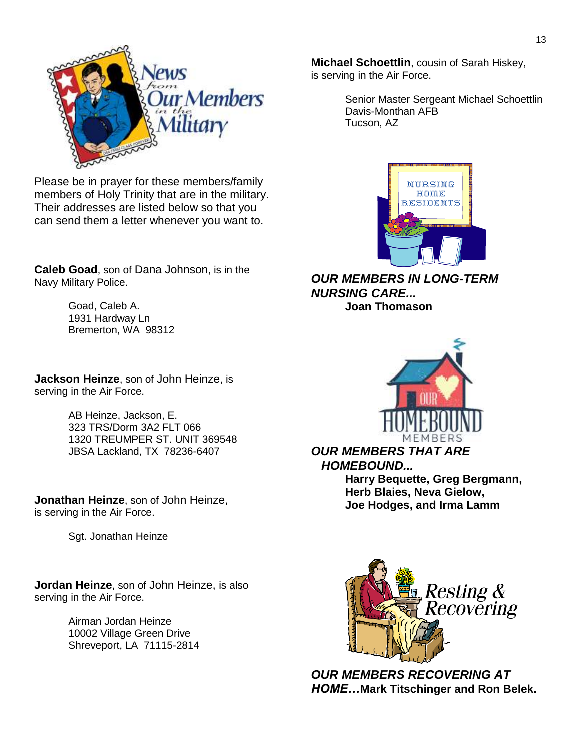

Please be in prayer for these members/family members of Holy Trinity that are in the military. Their addresses are listed below so that you can send them a letter whenever you want to.

**Caleb Goad**, son of Dana Johnson, is in the Navy Military Police.

> Goad, Caleb A. 1931 Hardway Ln Bremerton, WA 98312

**Jackson Heinze**, son of John Heinze, is serving in the Air Force.

> AB Heinze, Jackson, E. 323 TRS/Dorm 3A2 FLT 066 1320 TREUMPER ST. UNIT 369548 JBSA Lackland, TX 78236-6407

**Jonathan Heinze**, son of John Heinze, is serving in the Air Force.

Sgt. Jonathan Heinze

**Jordan Heinze**, son of John Heinze, is also serving in the Air Force.

> Airman Jordan Heinze 10002 Village Green Drive Shreveport, LA 71115-2814



Senior Master Sergeant Michael Schoettlin Davis-Monthan AFB Tucson, AZ



*OUR MEMBERS IN LONG-TERM NURSING CARE...* **Joan Thomason**



*OUR MEMBERS THAT ARE HOMEBOUND...* **Harry Bequette, Greg Bergmann, Herb Blaies, Neva Gielow, Joe Hodges, and Irma Lamm**



*OUR MEMBERS RECOVERING AT HOME…***Mark Titschinger and Ron Belek.**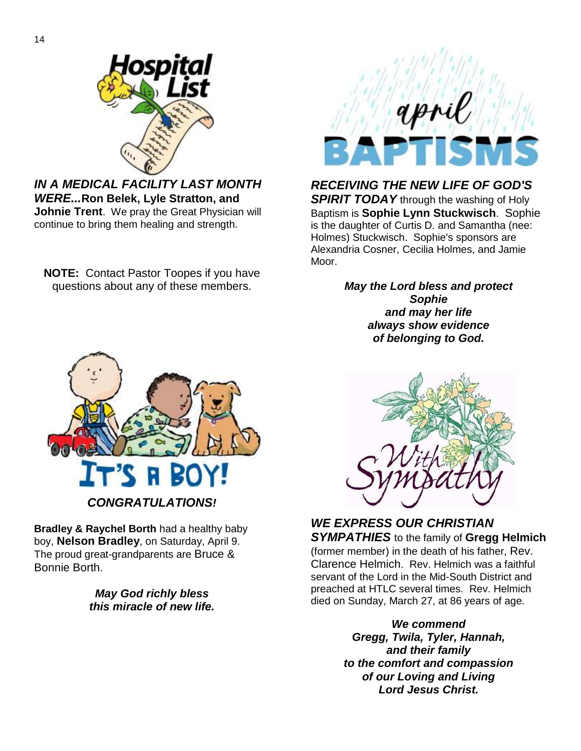

*IN A MEDICAL FACILITY LAST MONTH WERE...***Ron Belek, Lyle Stratton, and Johnie Trent**. We pray the Great Physician will continue to bring them healing and strength.

**NOTE:** Contact Pastor Toopes if you have questions about any of these members.



*RECEIVING THE NEW LIFE OF GOD'S* 

**SPIRIT TODAY** through the washing of Holy Baptism is **Sophie Lynn Stuckwisch**. Sophie is the daughter of Curtis D. and Samantha (nee: Holmes) Stuckwisch. Sophie's sponsors are Alexandria Cosner, Cecilia Holmes, and Jamie Moor.

> *May the Lord bless and protect Sophie and may her life always show evidence of belonging to God.*



**Bradley & Raychel Borth** had a healthy baby boy, **Nelson Bradley**, on Saturday, April 9. The proud great-grandparents are Bruce & Bonnie Borth.

> *May God richly bless this miracle of new life.*



#### *WE EXPRESS OUR CHRISTIAN SYMPATHIES* to the family of **Gregg Helmich** (former member) in the death of his father, Rev. Clarence Helmich. Rev. Helmich was a faithful

servant of the Lord in the Mid-South District and preached at HTLC several times. Rev. Helmich died on Sunday, March 27, at 86 years of age.

> *We commend Gregg, Twila, Tyler, Hannah, and their family to the comfort and compassion of our Loving and Living Lord Jesus Christ.*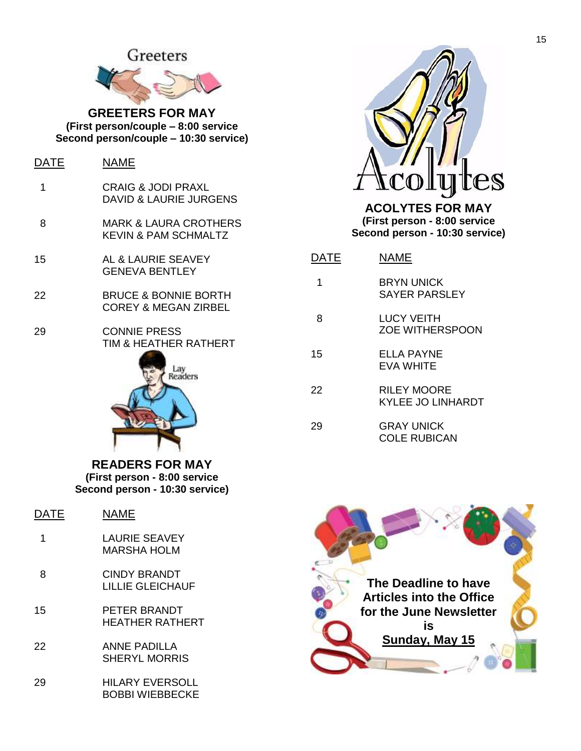

**GREETERS FOR MAY (First person/couple – 8:00 service Second person/couple – 10:30 service)**

| DAIE | NAME                                                    |
|------|---------------------------------------------------------|
| 1    | <b>CRAIG &amp; JODI PRAXL</b><br>DAVID & LAURIE JURGENS |
| 8    | MARK & LAURA CROTHERS<br>KEVIN & PAM SCHMALTZ           |
| 15   | AL & LAURIE SEAVEY<br>GENEVA BENTLEY                    |
| 22   | BRUCE & BONNIE BORTH<br><b>COREY &amp; MEGAN ZIRBEL</b> |
| 29   | <b>CONNIE PRESS</b><br>TIM & HEATHER RATHERT<br>Lay     |



**READERS FOR MAY (First person - 8:00 service Second person - 10:30 service)**

| DATE | NAME                                |
|------|-------------------------------------|
| 1    | <b>LAURIE SEAVEY</b><br>MARSHA HOLM |
| 8    | CINDY BRANDT<br>LILLIE GLEICHAUF    |
| 15   | PFTFR BRANDT<br>HFATHFR RATHFRT     |
| 22   | ANNE PADILLA<br>SHERYL MORRIS       |
|      |                                     |

29 HILARY EVERSOLL BOBBI WIEBBECKE



**ACOLYTES FOR MAY (First person - 8:00 service Second person - 10:30 service)**

| )ATE | NAME                                     |
|------|------------------------------------------|
| 1    | <b>BRYN UNICK</b><br>SAYER PARSLEY       |
| 8    | LUCY VEITH<br><b>ZOE WITHERSPOON</b>     |
| 15   | FI LA PAYNE<br><b>FVA WHITF</b>          |
| 22   | <b>RILEY MOORE</b><br>KYLEE JO LINHARDT  |
| 29   | <b>GRAY UNICK</b><br><b>COLE RUBICAN</b> |